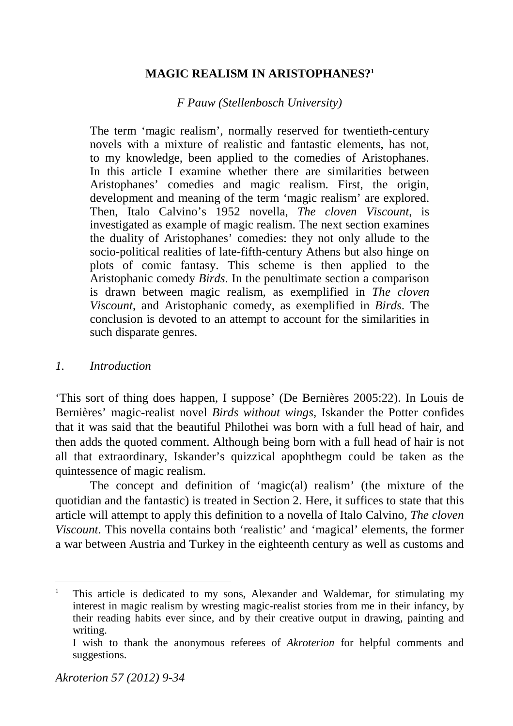# **MAGIC REALISM IN ARISTOPHANES?<sup>1</sup>**

# *F Pauw (Stellenbosch University)*

The term 'magic realism', normally reserved for twentieth-century novels with a mixture of realistic and fantastic elements, has not, to my knowledge, been applied to the comedies of Aristophanes. In this article I examine whether there are similarities between Aristophanes' comedies and magic realism. First, the origin, development and meaning of the term 'magic realism' are explored. Then, Italo Calvino's 1952 novella, *The cloven Viscount*, is investigated as example of magic realism. The next section examines the duality of Aristophanes' comedies: they not only allude to the socio-political realities of late-fifth-century Athens but also hinge on plots of comic fantasy. This scheme is then applied to the Aristophanic comedy *Birds*. In the penultimate section a comparison is drawn between magic realism, as exemplified in *The cloven Viscount*, and Aristophanic comedy, as exemplified in *Birds*. The conclusion is devoted to an attempt to account for the similarities in such disparate genres.

# *1. Introduction*

'This sort of thing does happen, I suppose' (De Bernières 2005:22). In Louis de Bernières' magic-realist novel *Birds without wings*, Iskander the Potter confides that it was said that the beautiful Philothei was born with a full head of hair, and then adds the quoted comment. Although being born with a full head of hair is not all that extraordinary, Iskander's quizzical apophthegm could be taken as the quintessence of magic realism.

The concept and definition of 'magic(al) realism' (the mixture of the quotidian and the fantastic) is treated in Section 2. Here, it suffices to state that this article will attempt to apply this definition to a novella of Italo Calvino, *The cloven Viscount*. This novella contains both 'realistic' and 'magical' elements, the former a war between Austria and Turkey in the eighteenth century as well as customs and

<u>.</u>

<sup>1</sup> This article is dedicated to my sons, Alexander and Waldemar, for stimulating my interest in magic realism by wresting magic-realist stories from me in their infancy, by their reading habits ever since, and by their creative output in drawing, painting and writing.

I wish to thank the anonymous referees of *Akroterion* for helpful comments and suggestions.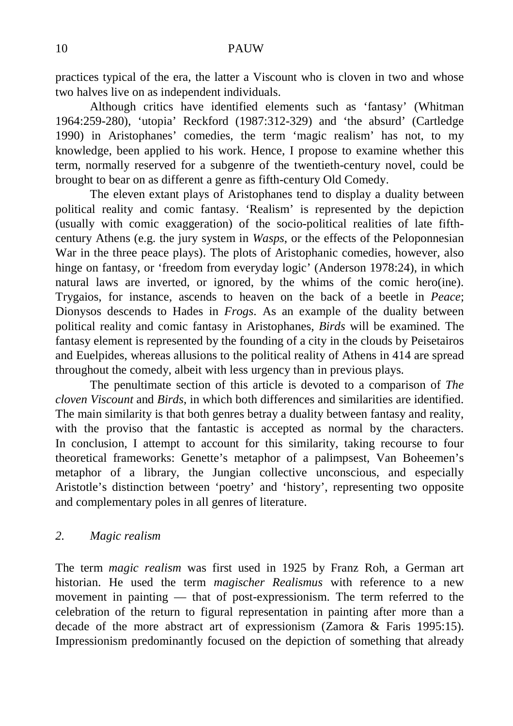practices typical of the era, the latter a Viscount who is cloven in two and whose two halves live on as independent individuals.

Although critics have identified elements such as 'fantasy' (Whitman 1964:259-280), 'utopia' Reckford (1987:312-329) and 'the absurd' (Cartledge 1990) in Aristophanes' comedies, the term 'magic realism' has not, to my knowledge, been applied to his work. Hence, I propose to examine whether this term, normally reserved for a subgenre of the twentieth-century novel, could be brought to bear on as different a genre as fifth-century Old Comedy.

The eleven extant plays of Aristophanes tend to display a duality between political reality and comic fantasy. 'Realism' is represented by the depiction (usually with comic exaggeration) of the socio-political realities of late fifthcentury Athens (e.g. the jury system in *Wasps*, or the effects of the Peloponnesian War in the three peace plays). The plots of Aristophanic comedies, however, also hinge on fantasy, or 'freedom from everyday logic' (Anderson 1978:24), in which natural laws are inverted, or ignored, by the whims of the comic hero(ine). Trygaios, for instance, ascends to heaven on the back of a beetle in *Peace*; Dionysos descends to Hades in *Frogs*. As an example of the duality between political reality and comic fantasy in Aristophanes, *Birds* will be examined. The fantasy element is represented by the founding of a city in the clouds by Peisetairos and Euelpides, whereas allusions to the political reality of Athens in 414 are spread throughout the comedy, albeit with less urgency than in previous plays.

The penultimate section of this article is devoted to a comparison of *The cloven Viscount* and *Birds*, in which both differences and similarities are identified. The main similarity is that both genres betray a duality between fantasy and reality, with the proviso that the fantastic is accepted as normal by the characters. In conclusion, I attempt to account for this similarity, taking recourse to four theoretical frameworks: Genette's metaphor of a palimpsest, Van Boheemen's metaphor of a library, the Jungian collective unconscious, and especially Aristotle's distinction between 'poetry' and 'history', representing two opposite and complementary poles in all genres of literature.

### *2. Magic realism*

The term *magic realism* was first used in 1925 by Franz Roh, a German art historian. He used the term *magischer Realismus* with reference to a new movement in painting — that of post-expressionism. The term referred to the celebration of the return to figural representation in painting after more than a decade of the more abstract art of expressionism (Zamora & Faris 1995:15). Impressionism predominantly focused on the depiction of something that already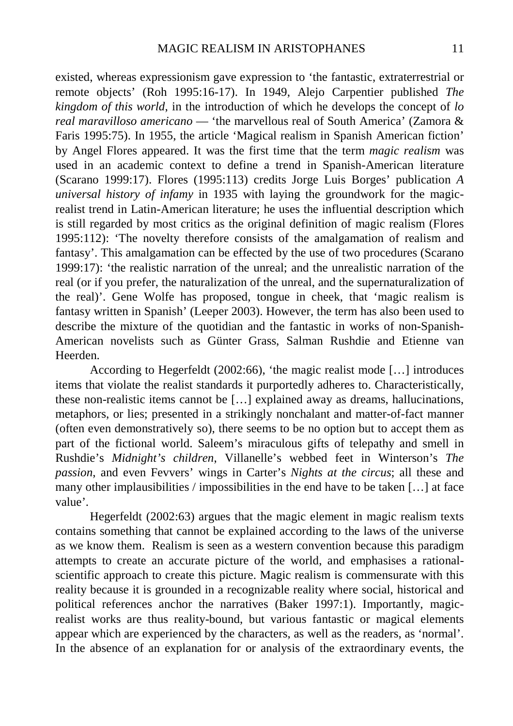existed, whereas expressionism gave expression to 'the fantastic, extraterrestrial or remote objects' (Roh 1995:16-17). In 1949, Alejo Carpentier published *The kingdom of this world*, in the introduction of which he develops the concept of *lo real maravilloso americano* — 'the marvellous real of South America' (Zamora & Faris 1995:75). In 1955, the article 'Magical realism in Spanish American fiction' by Angel Flores appeared. It was the first time that the term *magic realism* was used in an academic context to define a trend in Spanish-American literature (Scarano 1999:17). Flores (1995:113) credits Jorge Luis Borges' publication *A universal history of infamy* in 1935 with laying the groundwork for the magicrealist trend in Latin-American literature; he uses the influential description which is still regarded by most critics as the original definition of magic realism (Flores 1995:112): 'The novelty therefore consists of the amalgamation of realism and fantasy'. This amalgamation can be effected by the use of two procedures (Scarano 1999:17): 'the realistic narration of the unreal; and the unrealistic narration of the real (or if you prefer, the naturalization of the unreal, and the supernaturalization of the real)'. Gene Wolfe has proposed, tongue in cheek, that 'magic realism is fantasy written in Spanish' (Leeper 2003). However, the term has also been used to describe the mixture of the quotidian and the fantastic in works of non-Spanish-American novelists such as Günter Grass, Salman Rushdie and Etienne van Heerden.

According to Hegerfeldt (2002:66), 'the magic realist mode […] introduces items that violate the realist standards it purportedly adheres to. Characteristically, these non-realistic items cannot be […] explained away as dreams, hallucinations, metaphors, or lies; presented in a strikingly nonchalant and matter-of-fact manner (often even demonstratively so), there seems to be no option but to accept them as part of the fictional world. Saleem's miraculous gifts of telepathy and smell in Rushdie's *Midnight's children*, Villanelle's webbed feet in Winterson's *The passion*, and even Fevvers' wings in Carter's *Nights at the circus*; all these and many other implausibilities / impossibilities in the end have to be taken […] at face value'.

Hegerfeldt (2002:63) argues that the magic element in magic realism texts contains something that cannot be explained according to the laws of the universe as we know them. Realism is seen as a western convention because this paradigm attempts to create an accurate picture of the world, and emphasises a rationalscientific approach to create this picture. Magic realism is commensurate with this reality because it is grounded in a recognizable reality where social, historical and political references anchor the narratives (Baker 1997:1). Importantly, magicrealist works are thus reality-bound, but various fantastic or magical elements appear which are experienced by the characters, as well as the readers, as 'normal'. In the absence of an explanation for or analysis of the extraordinary events, the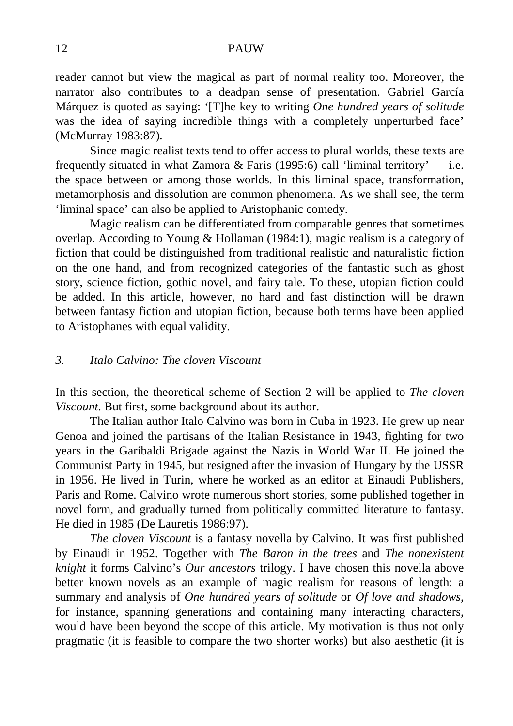reader cannot but view the magical as part of normal reality too. Moreover, the narrator also contributes to a deadpan sense of presentation. Gabriel García Márquez is quoted as saying: '[T]he key to writing *One hundred years of solitude* was the idea of saying incredible things with a completely unperturbed face' (McMurray 1983:87).

Since magic realist texts tend to offer access to plural worlds, these texts are frequently situated in what Zamora & Faris (1995:6) call 'liminal territory'  $-$  i.e. the space between or among those worlds. In this liminal space, transformation, metamorphosis and dissolution are common phenomena. As we shall see, the term 'liminal space' can also be applied to Aristophanic comedy.

Magic realism can be differentiated from comparable genres that sometimes overlap. According to Young & Hollaman (1984:1), magic realism is a category of fiction that could be distinguished from traditional realistic and naturalistic fiction on the one hand, and from recognized categories of the fantastic such as ghost story, science fiction, gothic novel, and fairy tale. To these, utopian fiction could be added. In this article, however, no hard and fast distinction will be drawn between fantasy fiction and utopian fiction, because both terms have been applied to Aristophanes with equal validity.

### *3. Italo Calvino: The cloven Viscount*

In this section, the theoretical scheme of Section 2 will be applied to *The cloven Viscount*. But first, some background about its author.

The Italian author Italo Calvino was born in Cuba in 1923. He grew up near Genoa and joined the partisans of the Italian Resistance in 1943, fighting for two years in the Garibaldi Brigade against the Nazis in World War II. He joined the Communist Party in 1945, but resigned after the invasion of Hungary by the USSR in 1956. He lived in Turin, where he worked as an editor at Einaudi Publishers, Paris and Rome. Calvino wrote numerous short stories, some published together in novel form, and gradually turned from politically committed literature to fantasy. He died in 1985 (De Lauretis 1986:97).

*The cloven Viscount* is a fantasy novella by Calvino. It was first published by Einaudi in 1952. Together with *The Baron in the trees* and *The nonexistent knight* it forms Calvino's *Our ancestors* trilogy. I have chosen this novella above better known novels as an example of magic realism for reasons of length: a summary and analysis of *One hundred years of solitude* or *Of love and shadows*, for instance, spanning generations and containing many interacting characters, would have been beyond the scope of this article. My motivation is thus not only pragmatic (it is feasible to compare the two shorter works) but also aesthetic (it is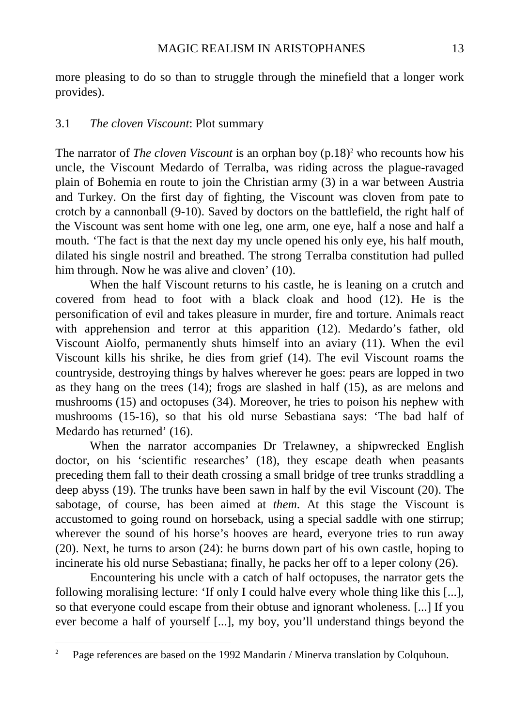more pleasing to do so than to struggle through the minefield that a longer work provides).

## 3.1 *The cloven Viscount*: Plot summary

The narrator of *The cloven Viscount* is an orphan boy (p.18)<sup>2</sup> who recounts how his uncle, the Viscount Medardo of Terralba, was riding across the plague-ravaged plain of Bohemia en route to join the Christian army (3) in a war between Austria and Turkey. On the first day of fighting, the Viscount was cloven from pate to crotch by a cannonball (9-10). Saved by doctors on the battlefield, the right half of the Viscount was sent home with one leg, one arm, one eye, half a nose and half a mouth. 'The fact is that the next day my uncle opened his only eye, his half mouth, dilated his single nostril and breathed. The strong Terralba constitution had pulled him through. Now he was alive and cloven' (10).

When the half Viscount returns to his castle, he is leaning on a crutch and covered from head to foot with a black cloak and hood (12). He is the personification of evil and takes pleasure in murder, fire and torture. Animals react with apprehension and terror at this apparition (12). Medardo's father, old Viscount Aiolfo, permanently shuts himself into an aviary (11). When the evil Viscount kills his shrike, he dies from grief (14). The evil Viscount roams the countryside, destroying things by halves wherever he goes: pears are lopped in two as they hang on the trees (14); frogs are slashed in half (15), as are melons and mushrooms (15) and octopuses (34). Moreover, he tries to poison his nephew with mushrooms (15-16), so that his old nurse Sebastiana says: 'The bad half of Medardo has returned' (16).

When the narrator accompanies Dr Trelawney, a shipwrecked English doctor, on his 'scientific researches' (18), they escape death when peasants preceding them fall to their death crossing a small bridge of tree trunks straddling a deep abyss (19). The trunks have been sawn in half by the evil Viscount (20). The sabotage, of course, has been aimed at *them*. At this stage the Viscount is accustomed to going round on horseback, using a special saddle with one stirrup; wherever the sound of his horse's hooves are heard, everyone tries to run away (20). Next, he turns to arson (24): he burns down part of his own castle, hoping to incinerate his old nurse Sebastiana; finally, he packs her off to a leper colony (26).

Encountering his uncle with a catch of half octopuses, the narrator gets the following moralising lecture: 'If only I could halve every whole thing like this [...], so that everyone could escape from their obtuse and ignorant wholeness. [...] If you ever become a half of yourself [...], my boy, you'll understand things beyond the

 $\frac{1}{2}$ Page references are based on the 1992 Mandarin / Minerva translation by Colquhoun.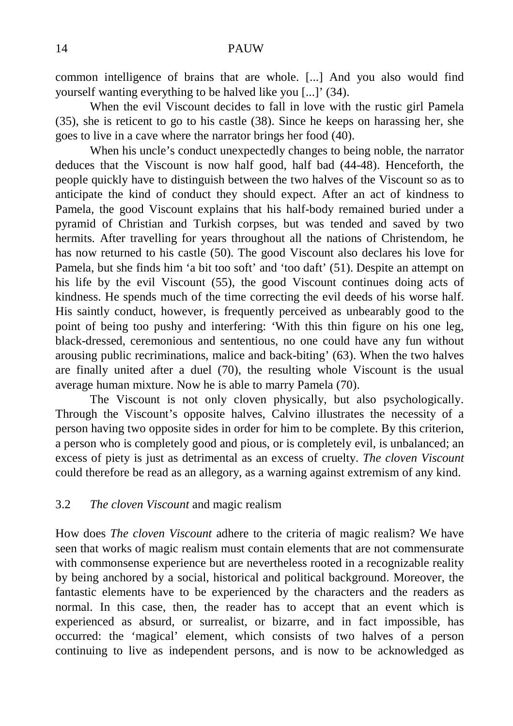common intelligence of brains that are whole. [...] And you also would find yourself wanting everything to be halved like you [...]' (34).

When the evil Viscount decides to fall in love with the rustic girl Pamela (35), she is reticent to go to his castle (38). Since he keeps on harassing her, she goes to live in a cave where the narrator brings her food (40).

When his uncle's conduct unexpectedly changes to being noble, the narrator deduces that the Viscount is now half good, half bad (44-48). Henceforth, the people quickly have to distinguish between the two halves of the Viscount so as to anticipate the kind of conduct they should expect. After an act of kindness to Pamela, the good Viscount explains that his half-body remained buried under a pyramid of Christian and Turkish corpses, but was tended and saved by two hermits. After travelling for years throughout all the nations of Christendom, he has now returned to his castle (50). The good Viscount also declares his love for Pamela, but she finds him 'a bit too soft' and 'too daft' (51). Despite an attempt on his life by the evil Viscount (55), the good Viscount continues doing acts of kindness. He spends much of the time correcting the evil deeds of his worse half. His saintly conduct, however, is frequently perceived as unbearably good to the point of being too pushy and interfering: 'With this thin figure on his one leg, black-dressed, ceremonious and sententious, no one could have any fun without arousing public recriminations, malice and back-biting' (63). When the two halves are finally united after a duel (70), the resulting whole Viscount is the usual average human mixture. Now he is able to marry Pamela (70).

The Viscount is not only cloven physically, but also psychologically. Through the Viscount's opposite halves, Calvino illustrates the necessity of a person having two opposite sides in order for him to be complete. By this criterion, a person who is completely good and pious, or is completely evil, is unbalanced; an excess of piety is just as detrimental as an excess of cruelty. *The cloven Viscount* could therefore be read as an allegory, as a warning against extremism of any kind.

### 3.2 *The cloven Viscount* and magic realism

How does *The cloven Viscount* adhere to the criteria of magic realism? We have seen that works of magic realism must contain elements that are not commensurate with commonsense experience but are nevertheless rooted in a recognizable reality by being anchored by a social, historical and political background. Moreover, the fantastic elements have to be experienced by the characters and the readers as normal. In this case, then, the reader has to accept that an event which is experienced as absurd, or surrealist, or bizarre, and in fact impossible, has occurred: the 'magical' element, which consists of two halves of a person continuing to live as independent persons, and is now to be acknowledged as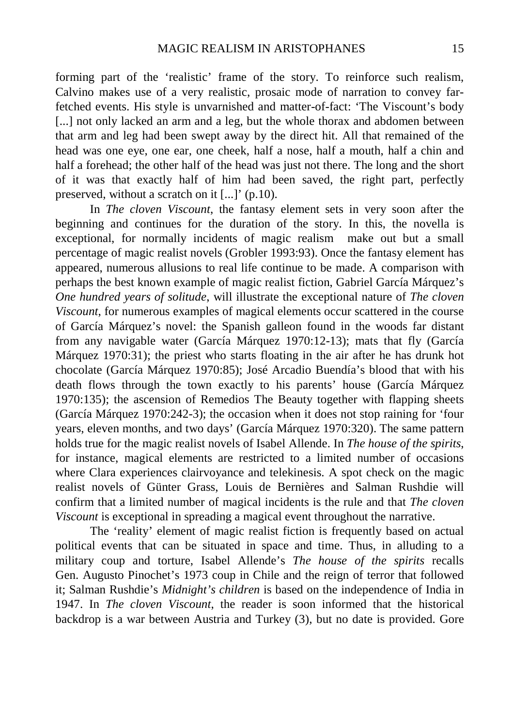forming part of the 'realistic' frame of the story. To reinforce such realism, Calvino makes use of a very realistic, prosaic mode of narration to convey farfetched events. His style is unvarnished and matter-of-fact: 'The Viscount's body [...] not only lacked an arm and a leg, but the whole thorax and abdomen between that arm and leg had been swept away by the direct hit. All that remained of the head was one eye, one ear, one cheek, half a nose, half a mouth, half a chin and half a forehead; the other half of the head was just not there. The long and the short of it was that exactly half of him had been saved, the right part, perfectly preserved, without a scratch on it [...]' (p.10).

In *The cloven Viscount*, the fantasy element sets in very soon after the beginning and continues for the duration of the story. In this, the novella is exceptional, for normally incidents of magic realism make out but a small percentage of magic realist novels (Grobler 1993:93). Once the fantasy element has appeared, numerous allusions to real life continue to be made. A comparison with perhaps the best known example of magic realist fiction, Gabriel García Márquez's *One hundred years of solitude*, will illustrate the exceptional nature of *The cloven Viscount*, for numerous examples of magical elements occur scattered in the course of García Márquez's novel: the Spanish galleon found in the woods far distant from any navigable water (García Márquez 1970:12-13); mats that fly (García Márquez 1970:31); the priest who starts floating in the air after he has drunk hot chocolate (García Márquez 1970:85); José Arcadio Buendía's blood that with his death flows through the town exactly to his parents' house (García Márquez 1970:135); the ascension of Remedios The Beauty together with flapping sheets (García Márquez 1970:242-3); the occasion when it does not stop raining for 'four years, eleven months, and two days' (García Márquez 1970:320). The same pattern holds true for the magic realist novels of Isabel Allende. In *The house of the spirits*, for instance, magical elements are restricted to a limited number of occasions where Clara experiences clairvoyance and telekinesis. A spot check on the magic realist novels of Günter Grass, Louis de Bernières and Salman Rushdie will confirm that a limited number of magical incidents is the rule and that *The cloven Viscount* is exceptional in spreading a magical event throughout the narrative.

The 'reality' element of magic realist fiction is frequently based on actual political events that can be situated in space and time. Thus, in alluding to a military coup and torture, Isabel Allende's *The house of the spirits* recalls Gen. Augusto Pinochet's 1973 coup in Chile and the reign of terror that followed it; Salman Rushdie's *Midnight's children* is based on the independence of India in 1947. In *The cloven Viscount*, the reader is soon informed that the historical backdrop is a war between Austria and Turkey (3), but no date is provided. Gore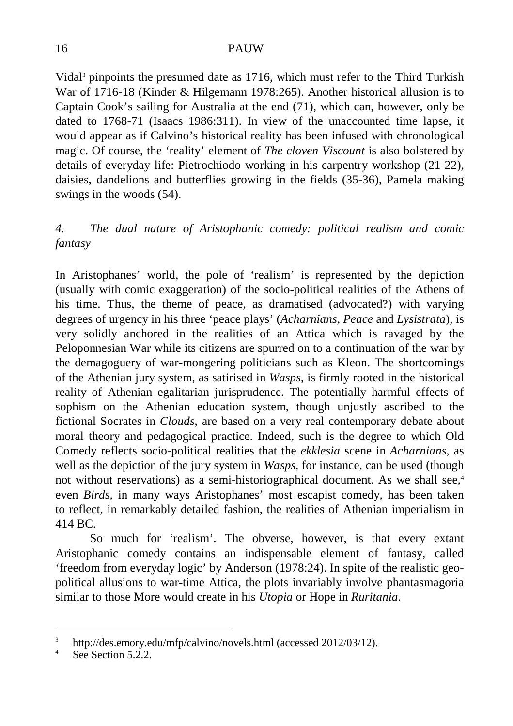Vidal<sup>3</sup> pinpoints the presumed date as 1716, which must refer to the Third Turkish War of 1716-18 (Kinder & Hilgemann 1978:265). Another historical allusion is to Captain Cook's sailing for Australia at the end (71), which can, however, only be dated to 1768-71 (Isaacs 1986:311). In view of the unaccounted time lapse, it would appear as if Calvino's historical reality has been infused with chronological magic. Of course, the 'reality' element of *The cloven Viscount* is also bolstered by details of everyday life: Pietrochiodo working in his carpentry workshop (21-22), daisies, dandelions and butterflies growing in the fields (35-36), Pamela making swings in the woods (54).

# *4. The dual nature of Aristophanic comedy: political realism and comic fantasy*

In Aristophanes' world, the pole of 'realism' is represented by the depiction (usually with comic exaggeration) of the socio-political realities of the Athens of his time. Thus, the theme of peace, as dramatised (advocated?) with varying degrees of urgency in his three 'peace plays' (*Acharnians, Peace* and *Lysistrata*), is very solidly anchored in the realities of an Attica which is ravaged by the Peloponnesian War while its citizens are spurred on to a continuation of the war by the demagoguery of war-mongering politicians such as Kleon. The shortcomings of the Athenian jury system, as satirised in *Wasps*, is firmly rooted in the historical reality of Athenian egalitarian jurisprudence. The potentially harmful effects of sophism on the Athenian education system, though unjustly ascribed to the fictional Socrates in *Clouds*, are based on a very real contemporary debate about moral theory and pedagogical practice. Indeed, such is the degree to which Old Comedy reflects socio-political realities that the *ekklesia* scene in *Acharnians*, as well as the depiction of the jury system in *Wasps*, for instance, can be used (though not without reservations) as a semi-historiographical document. As we shall see,<sup>4</sup> even *Birds*, in many ways Aristophanes' most escapist comedy, has been taken to reflect, in remarkably detailed fashion, the realities of Athenian imperialism in 414 BC.

So much for 'realism'. The obverse, however, is that every extant Aristophanic comedy contains an indispensable element of fantasy, called 'freedom from everyday logic' by Anderson (1978:24). In spite of the realistic geopolitical allusions to war-time Attica, the plots invariably involve phantasmagoria similar to those More would create in his *Utopia* or Hope in *Ruritania*.

-

<sup>3</sup> http://des.emory.edu/mfp/calvino/novels.html (accessed 2012/03/12).

<sup>4</sup> See Section 5.2.2.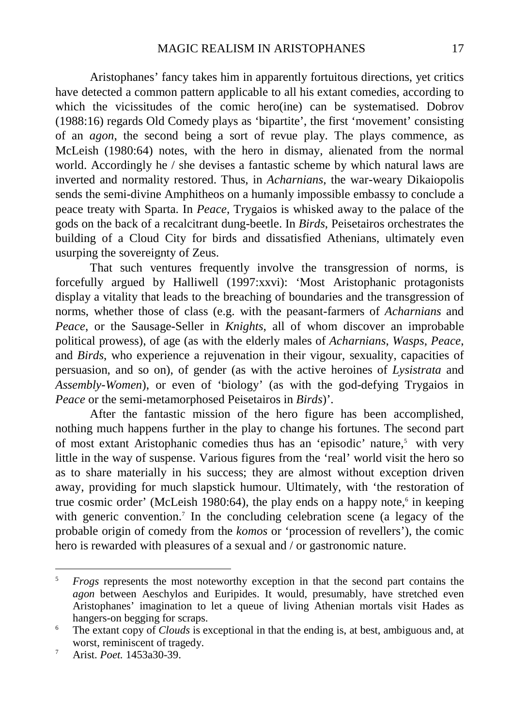Aristophanes' fancy takes him in apparently fortuitous directions, yet critics have detected a common pattern applicable to all his extant comedies, according to which the vicissitudes of the comic hero(ine) can be systematised. Dobrov (1988:16) regards Old Comedy plays as 'bipartite', the first 'movement' consisting of an *agon*, the second being a sort of revue play. The plays commence, as McLeish (1980:64) notes, with the hero in dismay, alienated from the normal world. Accordingly he / she devises a fantastic scheme by which natural laws are inverted and normality restored. Thus, in *Acharnians*, the war-weary Dikaiopolis sends the semi-divine Amphitheos on a humanly impossible embassy to conclude a peace treaty with Sparta. In *Peace*, Trygaios is whisked away to the palace of the gods on the back of a recalcitrant dung-beetle. In *Birds*, Peisetairos orchestrates the building of a Cloud City for birds and dissatisfied Athenians, ultimately even usurping the sovereignty of Zeus.

That such ventures frequently involve the transgression of norms, is forcefully argued by Halliwell (1997:xxvi): 'Most Aristophanic protagonists display a vitality that leads to the breaching of boundaries and the transgression of norms, whether those of class (e.g. with the peasant-farmers of *Acharnians* and *Peace*, or the Sausage-Seller in *Knights*, all of whom discover an improbable political prowess), of age (as with the elderly males of *Acharnians*, *Wasps*, *Peace*, and *Birds*, who experience a rejuvenation in their vigour, sexuality, capacities of persuasion, and so on), of gender (as with the active heroines of *Lysistrata* and *Assembly-Women*), or even of 'biology' (as with the god-defying Trygaios in *Peace* or the semi-metamorphosed Peisetairos in *Birds*)'.

After the fantastic mission of the hero figure has been accomplished, nothing much happens further in the play to change his fortunes. The second part of most extant Aristophanic comedies thus has an 'episodic' nature,<sup>5</sup> with very little in the way of suspense. Various figures from the 'real' world visit the hero so as to share materially in his success; they are almost without exception driven away, providing for much slapstick humour. Ultimately, with 'the restoration of true cosmic order' (McLeish 1980:64), the play ends on a happy note,<sup>6</sup> in keeping with generic convention.<sup>7</sup> In the concluding celebration scene (a legacy of the probable origin of comedy from the *komos* or 'procession of revellers'), the comic hero is rewarded with pleasures of a sexual and  $\overline{\prime}$  or gastronomic nature.

-

<sup>5</sup> *Frogs* represents the most noteworthy exception in that the second part contains the *agon* between Aeschylos and Euripides. It would, presumably, have stretched even Aristophanes' imagination to let a queue of living Athenian mortals visit Hades as hangers-on begging for scraps.

<sup>6</sup> The extant copy of *Clouds* is exceptional in that the ending is, at best, ambiguous and, at worst, reminiscent of tragedy.

<sup>7</sup> Arist. *Poet.* 1453a30-39.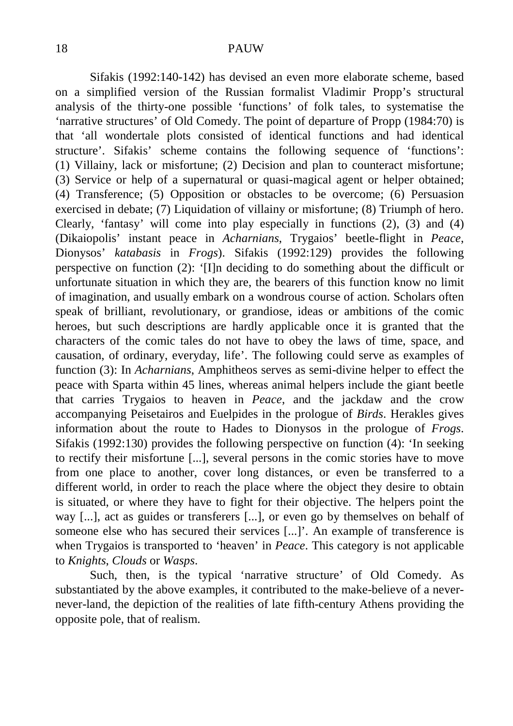Sifakis (1992:140-142) has devised an even more elaborate scheme, based on a simplified version of the Russian formalist Vladimir Propp's structural analysis of the thirty-one possible 'functions' of folk tales, to systematise the 'narrative structures' of Old Comedy. The point of departure of Propp (1984:70) is that 'all wondertale plots consisted of identical functions and had identical structure'. Sifakis' scheme contains the following sequence of 'functions': (1) Villainy, lack or misfortune; (2) Decision and plan to counteract misfortune; (3) Service or help of a supernatural or quasi-magical agent or helper obtained; (4) Transference; (5) Opposition or obstacles to be overcome; (6) Persuasion exercised in debate; (7) Liquidation of villainy or misfortune; (8) Triumph of hero. Clearly, 'fantasy' will come into play especially in functions  $(2)$ ,  $(3)$  and  $(4)$ (Dikaiopolis' instant peace in *Acharnians*, Trygaios' beetle-flight in *Peace*, Dionysos' *katabasis* in *Frogs*). Sifakis (1992:129) provides the following perspective on function (2): '[I]n deciding to do something about the difficult or unfortunate situation in which they are, the bearers of this function know no limit of imagination, and usually embark on a wondrous course of action. Scholars often speak of brilliant, revolutionary, or grandiose, ideas or ambitions of the comic heroes, but such descriptions are hardly applicable once it is granted that the characters of the comic tales do not have to obey the laws of time, space, and causation, of ordinary, everyday, life'. The following could serve as examples of function (3): In *Acharnians*, Amphitheos serves as semi-divine helper to effect the peace with Sparta within 45 lines, whereas animal helpers include the giant beetle that carries Trygaios to heaven in *Peace*, and the jackdaw and the crow accompanying Peisetairos and Euelpides in the prologue of *Birds*. Herakles gives information about the route to Hades to Dionysos in the prologue of *Frogs*. Sifakis (1992:130) provides the following perspective on function (4): 'In seeking to rectify their misfortune [...], several persons in the comic stories have to move from one place to another, cover long distances, or even be transferred to a different world, in order to reach the place where the object they desire to obtain is situated, or where they have to fight for their objective. The helpers point the way [...], act as guides or transferers [...], or even go by themselves on behalf of someone else who has secured their services [...]'. An example of transference is when Trygaios is transported to 'heaven' in *Peace*. This category is not applicable to *Knights*, *Clouds* or *Wasps*.

Such, then, is the typical 'narrative structure' of Old Comedy. As substantiated by the above examples, it contributed to the make-believe of a nevernever-land, the depiction of the realities of late fifth-century Athens providing the opposite pole, that of realism.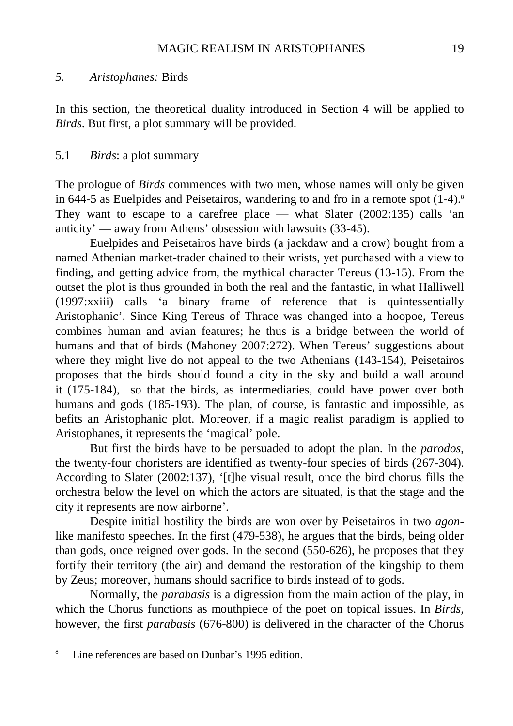In this section, the theoretical duality introduced in Section 4 will be applied to *Birds*. But first, a plot summary will be provided.

# 5.1 *Birds*: a plot summary

The prologue of *Birds* commences with two men, whose names will only be given in 644-5 as Euelpides and Peisetairos, wandering to and fro in a remote spot  $(1-4)$ .<sup>8</sup> They want to escape to a carefree place — what Slater  $(2002:135)$  calls 'an anticity' — away from Athens' obsession with lawsuits (33-45).

Euelpides and Peisetairos have birds (a jackdaw and a crow) bought from a named Athenian market-trader chained to their wrists, yet purchased with a view to finding, and getting advice from, the mythical character Tereus (13-15). From the outset the plot is thus grounded in both the real and the fantastic, in what Halliwell (1997:xxiii) calls 'a binary frame of reference that is quintessentially Aristophanic'. Since King Tereus of Thrace was changed into a hoopoe, Tereus combines human and avian features; he thus is a bridge between the world of humans and that of birds (Mahoney 2007:272). When Tereus' suggestions about where they might live do not appeal to the two Athenians (143-154), Peisetairos proposes that the birds should found a city in the sky and build a wall around it (175-184), so that the birds, as intermediaries, could have power over both humans and gods (185-193). The plan, of course, is fantastic and impossible, as befits an Aristophanic plot. Moreover, if a magic realist paradigm is applied to Aristophanes, it represents the 'magical' pole.

But first the birds have to be persuaded to adopt the plan. In the *parodos*, the twenty-four choristers are identified as twenty-four species of birds (267-304). According to Slater (2002:137), '[t]he visual result, once the bird chorus fills the orchestra below the level on which the actors are situated, is that the stage and the city it represents are now airborne'.

Despite initial hostility the birds are won over by Peisetairos in two *agon*like manifesto speeches. In the first (479-538), he argues that the birds, being older than gods, once reigned over gods. In the second (550-626), he proposes that they fortify their territory (the air) and demand the restoration of the kingship to them by Zeus; moreover, humans should sacrifice to birds instead of to gods.

Normally, the *parabasis* is a digression from the main action of the play, in which the Chorus functions as mouthpiece of the poet on topical issues. In *Birds*, however, the first *parabasis* (676-800) is delivered in the character of the Chorus

<sup>-&</sup>lt;br>8 Line references are based on Dunbar's 1995 edition.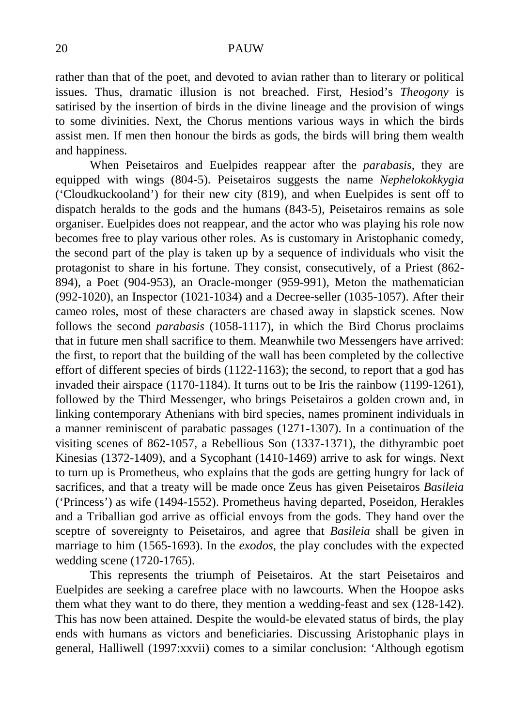rather than that of the poet, and devoted to avian rather than to literary or political issues. Thus, dramatic illusion is not breached. First, Hesiod's *Theogony* is satirised by the insertion of birds in the divine lineage and the provision of wings to some divinities. Next, the Chorus mentions various ways in which the birds assist men. If men then honour the birds as gods, the birds will bring them wealth and happiness.

When Peisetairos and Euelpides reappear after the *parabasis*, they are equipped with wings (804-5). Peisetairos suggests the name *Nephelokokkygia* ('Cloudkuckooland') for their new city (819), and when Euelpides is sent off to dispatch heralds to the gods and the humans (843-5), Peisetairos remains as sole organiser. Euelpides does not reappear, and the actor who was playing his role now becomes free to play various other roles. As is customary in Aristophanic comedy, the second part of the play is taken up by a sequence of individuals who visit the protagonist to share in his fortune. They consist, consecutively, of a Priest (862- 894), a Poet (904-953), an Oracle-monger (959-991), Meton the mathematician (992-1020), an Inspector (1021-1034) and a Decree-seller (1035-1057). After their cameo roles, most of these characters are chased away in slapstick scenes. Now follows the second *parabasis* (1058-1117), in which the Bird Chorus proclaims that in future men shall sacrifice to them. Meanwhile two Messengers have arrived: the first, to report that the building of the wall has been completed by the collective effort of different species of birds (1122-1163); the second, to report that a god has invaded their airspace (1170-1184). It turns out to be Iris the rainbow (1199-1261), followed by the Third Messenger, who brings Peisetairos a golden crown and, in linking contemporary Athenians with bird species, names prominent individuals in a manner reminiscent of parabatic passages (1271-1307). In a continuation of the visiting scenes of 862-1057, a Rebellious Son (1337-1371), the dithyrambic poet Kinesias (1372-1409), and a Sycophant (1410-1469) arrive to ask for wings. Next to turn up is Prometheus, who explains that the gods are getting hungry for lack of sacrifices, and that a treaty will be made once Zeus has given Peisetairos *Basileia* ('Princess') as wife (1494-1552). Prometheus having departed, Poseidon, Herakles and a Triballian god arrive as official envoys from the gods. They hand over the sceptre of sovereignty to Peisetairos, and agree that *Basileia* shall be given in marriage to him (1565-1693). In the *exodos*, the play concludes with the expected wedding scene (1720-1765).

This represents the triumph of Peisetairos. At the start Peisetairos and Euelpides are seeking a carefree place with no lawcourts. When the Hoopoe asks them what they want to do there, they mention a wedding-feast and sex (128-142). This has now been attained. Despite the would-be elevated status of birds, the play ends with humans as victors and beneficiaries. Discussing Aristophanic plays in general, Halliwell (1997:xxvii) comes to a similar conclusion: 'Although egotism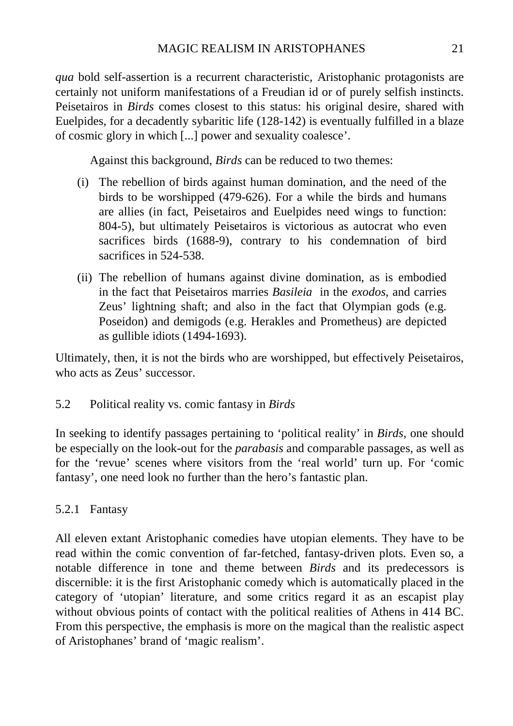*qua* bold self-assertion is a recurrent characteristic, Aristophanic protagonists are certainly not uniform manifestations of a Freudian id or of purely selfish instincts. Peisetairos in *Birds* comes closest to this status: his original desire, shared with Euelpides, for a decadently sybaritic life (128-142) is eventually fulfilled in a blaze of cosmic glory in which [...] power and sexuality coalesce'.

Against this background, *Birds* can be reduced to two themes:

- (i) The rebellion of birds against human domination, and the need of the birds to be worshipped (479-626). For a while the birds and humans are allies (in fact, Peisetairos and Euelpides need wings to function: 804-5), but ultimately Peisetairos is victorious as autocrat who even sacrifices birds (1688-9), contrary to his condemnation of bird sacrifices in 524-538.
- (ii) The rebellion of humans against divine domination, as is embodied in the fact that Peisetairos marries *Basileia* in the *exodos*, and carries Zeus' lightning shaft; and also in the fact that Olympian gods (e.g. Poseidon) and demigods (e.g. Herakles and Prometheus) are depicted as gullible idiots (1494-1693).

Ultimately, then, it is not the birds who are worshipped, but effectively Peisetairos, who acts as Zeus' successor.

5.2 Political reality vs. comic fantasy in *Birds* 

In seeking to identify passages pertaining to 'political reality' in *Birds*, one should be especially on the look-out for the *parabasis* and comparable passages, as well as for the 'revue' scenes where visitors from the 'real world' turn up. For 'comic fantasy', one need look no further than the hero's fantastic plan.

5.2.1 Fantasy

All eleven extant Aristophanic comedies have utopian elements. They have to be read within the comic convention of far-fetched, fantasy-driven plots. Even so, a notable difference in tone and theme between *Birds* and its predecessors is discernible: it is the first Aristophanic comedy which is automatically placed in the category of 'utopian' literature, and some critics regard it as an escapist play without obvious points of contact with the political realities of Athens in 414 BC. From this perspective, the emphasis is more on the magical than the realistic aspect of Aristophanes' brand of 'magic realism'.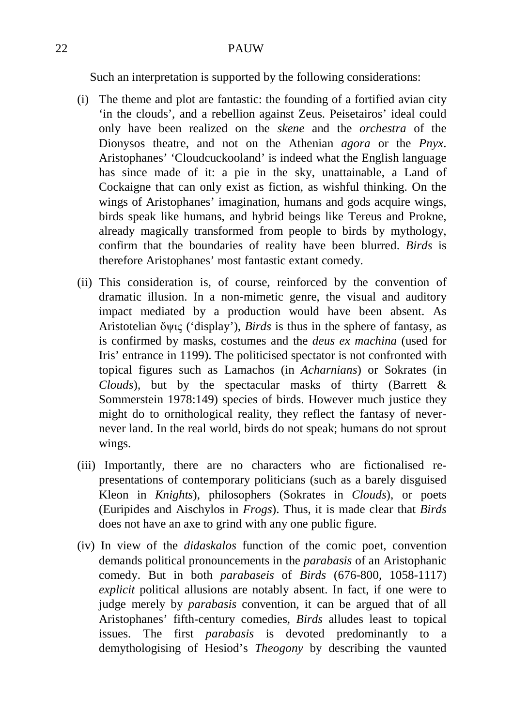Such an interpretation is supported by the following considerations:

- (i) The theme and plot are fantastic: the founding of a fortified avian city 'in the clouds', and a rebellion against Zeus. Peisetairos' ideal could only have been realized on the *skene* and the *orchestra* of the Dionysos theatre, and not on the Athenian *agora* or the *Pnyx*. Aristophanes' 'Cloudcuckooland' is indeed what the English language has since made of it: a pie in the sky, unattainable, a Land of Cockaigne that can only exist as fiction, as wishful thinking. On the wings of Aristophanes' imagination, humans and gods acquire wings, birds speak like humans, and hybrid beings like Tereus and Prokne, already magically transformed from people to birds by mythology, confirm that the boundaries of reality have been blurred. *Birds* is therefore Aristophanes' most fantastic extant comedy.
- (ii) This consideration is, of course, reinforced by the convention of dramatic illusion. In a non-mimetic genre, the visual and auditory impact mediated by a production would have been absent. As Aristotelian ὄψις ('display'), *Birds* is thus in the sphere of fantasy, as is confirmed by masks, costumes and the *deus ex machina* (used for Iris' entrance in 1199). The politicised spectator is not confronted with topical figures such as Lamachos (in *Acharnians*) or Sokrates (in *Clouds*), but by the spectacular masks of thirty (Barrett & Sommerstein 1978:149) species of birds. However much justice they might do to ornithological reality, they reflect the fantasy of nevernever land. In the real world, birds do not speak; humans do not sprout wings.
- (iii) Importantly, there are no characters who are fictionalised representations of contemporary politicians (such as a barely disguised Kleon in *Knights*), philosophers (Sokrates in *Clouds*), or poets (Euripides and Aischylos in *Frogs*). Thus, it is made clear that *Birds* does not have an axe to grind with any one public figure.
- (iv) In view of the *didaskalos* function of the comic poet, convention demands political pronouncements in the *parabasis* of an Aristophanic comedy. But in both *parabaseis* of *Birds* (676-800, 1058-1117) *explicit* political allusions are notably absent. In fact, if one were to judge merely by *parabasis* convention, it can be argued that of all Aristophanes' fifth-century comedies, *Birds* alludes least to topical issues. The first *parabasis* is devoted predominantly to a demythologising of Hesiod's *Theogony* by describing the vaunted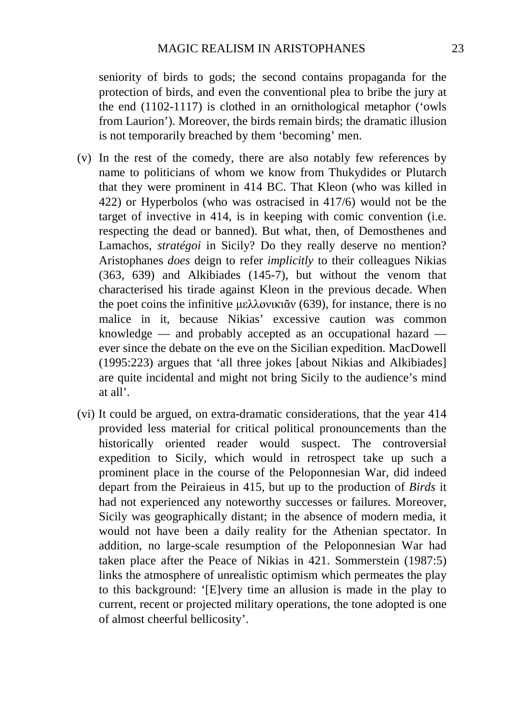seniority of birds to gods; the second contains propaganda for the protection of birds, and even the conventional plea to bribe the jury at the end (1102-1117) is clothed in an ornithological metaphor ('owls from Laurion'). Moreover, the birds remain birds; the dramatic illusion is not temporarily breached by them 'becoming' men.

- (v) In the rest of the comedy, there are also notably few references by name to politicians of whom we know from Thukydides or Plutarch that they were prominent in 414 BC. That Kleon (who was killed in 422) or Hyperbolos (who was ostracised in 417/6) would not be the target of invective in 414, is in keeping with comic convention (i.e. respecting the dead or banned). But what, then, of Demosthenes and Lamachos, *stratégoi* in Sicily? Do they really deserve no mention? Aristophanes *does* deign to refer *implicitly* to their colleagues Nikias (363, 639) and Alkibiades (145-7), but without the venom that characterised his tirade against Kleon in the previous decade. When the poet coins the infinitive μελλονικιᾶν (639), for instance, there is no malice in it, because Nikias' excessive caution was common knowledge — and probably accepted as an occupational hazard ever since the debate on the eve on the Sicilian expedition. MacDowell (1995:223) argues that 'all three jokes [about Nikias and Alkibiades] are quite incidental and might not bring Sicily to the audience's mind at all'.
- (vi) It could be argued, on extra-dramatic considerations, that the year 414 provided less material for critical political pronouncements than the historically oriented reader would suspect. The controversial expedition to Sicily, which would in retrospect take up such a prominent place in the course of the Peloponnesian War, did indeed depart from the Peiraieus in 415, but up to the production of *Birds* it had not experienced any noteworthy successes or failures. Moreover, Sicily was geographically distant; in the absence of modern media, it would not have been a daily reality for the Athenian spectator. In addition, no large-scale resumption of the Peloponnesian War had taken place after the Peace of Nikias in 421. Sommerstein (1987:5) links the atmosphere of unrealistic optimism which permeates the play to this background: '[E]very time an allusion is made in the play to current, recent or projected military operations, the tone adopted is one of almost cheerful bellicosity'.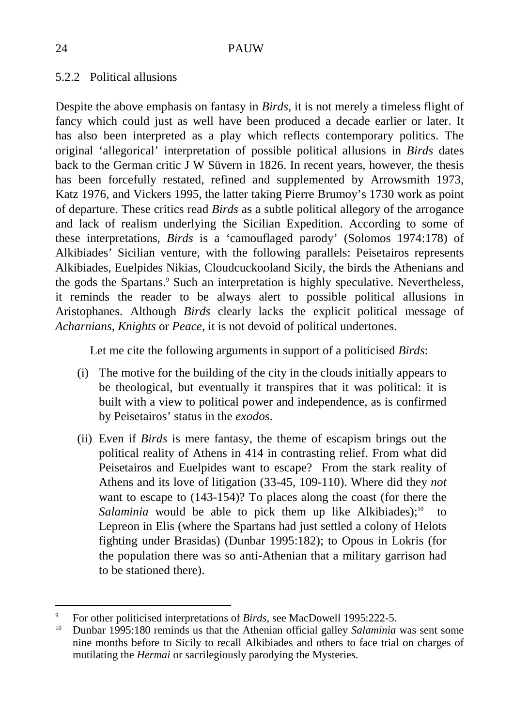# 5.2.2 Political allusions

Despite the above emphasis on fantasy in *Birds*, it is not merely a timeless flight of fancy which could just as well have been produced a decade earlier or later. It has also been interpreted as a play which reflects contemporary politics. The original 'allegorical' interpretation of possible political allusions in *Birds* dates back to the German critic J W Süvern in 1826. In recent years, however, the thesis has been forcefully restated, refined and supplemented by Arrowsmith 1973, Katz 1976, and Vickers 1995, the latter taking Pierre Brumoy's 1730 work as point of departure. These critics read *Birds* as a subtle political allegory of the arrogance and lack of realism underlying the Sicilian Expedition. According to some of these interpretations, *Birds* is a 'camouflaged parody' (Solomos 1974:178) of Alkibiades' Sicilian venture, with the following parallels: Peisetairos represents Alkibiades, Euelpides Nikias, Cloudcuckooland Sicily, the birds the Athenians and the gods the Spartans.<sup>9</sup> Such an interpretation is highly speculative. Nevertheless, it reminds the reader to be always alert to possible political allusions in Aristophanes. Although *Birds* clearly lacks the explicit political message of *Acharnians*, *Knights* or *Peace*, it is not devoid of political undertones.

Let me cite the following arguments in support of a politicised *Birds*:

- (i) The motive for the building of the city in the clouds initially appears to be theological, but eventually it transpires that it was political: it is built with a view to political power and independence, as is confirmed by Peisetairos' status in the *exodos*.
- (ii) Even if *Birds* is mere fantasy, the theme of escapism brings out the political reality of Athens in 414 in contrasting relief. From what did Peisetairos and Euelpides want to escape? From the stark reality of Athens and its love of litigation (33-45, 109-110). Where did they *not* want to escape to (143-154)? To places along the coast (for there the *Salaminia* would be able to pick them up like Alkibiades);<sup>10</sup> to Lepreon in Elis (where the Spartans had just settled a colony of Helots fighting under Brasidas) (Dunbar 1995:182); to Opous in Lokris (for the population there was so anti-Athenian that a military garrison had to be stationed there).

-

<sup>9</sup> <sup>9</sup> For other politicised interpretations of *Birds*, see MacDowell 1995:222-5.<br><sup>10</sup> Durber 1005:180 reminds us that the Athenian official gallary *Selaminia* 

<sup>10</sup> Dunbar 1995:180 reminds us that the Athenian official galley *Salaminia* was sent some nine months before to Sicily to recall Alkibiades and others to face trial on charges of mutilating the *Hermai* or sacrilegiously parodying the Mysteries.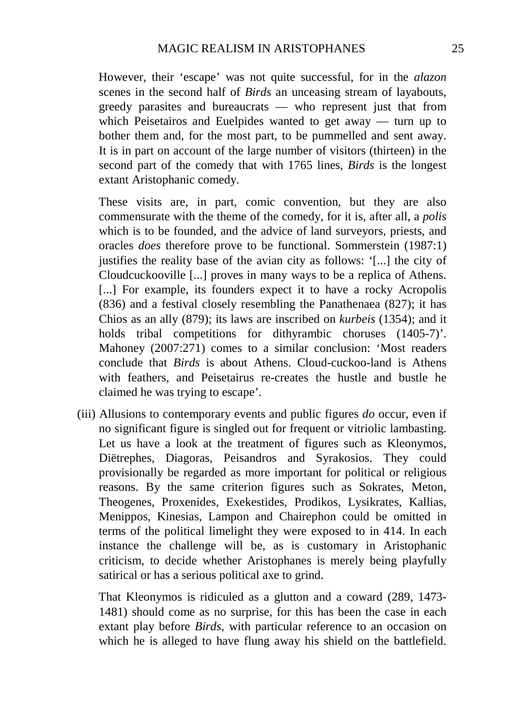However, their 'escape' was not quite successful, for in the *alazon* scenes in the second half of *Birds* an unceasing stream of layabouts, greedy parasites and bureaucrats — who represent just that from which Peisetairos and Euelpides wanted to get away — turn up to bother them and, for the most part, to be pummelled and sent away. It is in part on account of the large number of visitors (thirteen) in the second part of the comedy that with 1765 lines, *Birds* is the longest extant Aristophanic comedy.

These visits are, in part, comic convention, but they are also commensurate with the theme of the comedy, for it is, after all, a *polis* which is to be founded, and the advice of land surveyors, priests, and oracles *does* therefore prove to be functional. Sommerstein (1987:1) justifies the reality base of the avian city as follows: '[...] the city of Cloudcuckooville [...] proves in many ways to be a replica of Athens. [...] For example, its founders expect it to have a rocky Acropolis (836) and a festival closely resembling the Panathenaea (827); it has Chios as an ally (879); its laws are inscribed on *kurbeis* (1354); and it holds tribal competitions for dithyrambic choruses  $(1405-7)$ . Mahoney (2007:271) comes to a similar conclusion: 'Most readers conclude that *Birds* is about Athens. Cloud-cuckoo-land is Athens with feathers, and Peisetairus re-creates the hustle and bustle he claimed he was trying to escape'.

(iii) Allusions to contemporary events and public figures *do* occur, even if no significant figure is singled out for frequent or vitriolic lambasting. Let us have a look at the treatment of figures such as Kleonymos, Diëtrephes, Diagoras, Peisandros and Syrakosios. They could provisionally be regarded as more important for political or religious reasons. By the same criterion figures such as Sokrates, Meton, Theogenes, Proxenides, Exekestides, Prodikos, Lysikrates, Kallias, Menippos, Kinesias, Lampon and Chairephon could be omitted in terms of the political limelight they were exposed to in 414. In each instance the challenge will be, as is customary in Aristophanic criticism, to decide whether Aristophanes is merely being playfully satirical or has a serious political axe to grind.

That Kleonymos is ridiculed as a glutton and a coward (289, 1473- 1481) should come as no surprise, for this has been the case in each extant play before *Birds*, with particular reference to an occasion on which he is alleged to have flung away his shield on the battlefield.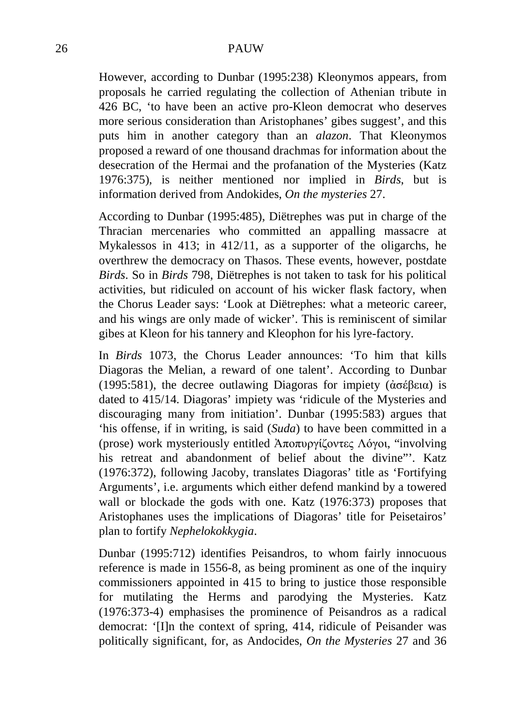However, according to Dunbar (1995:238) Kleonymos appears, from proposals he carried regulating the collection of Athenian tribute in 426 BC, 'to have been an active pro-Kleon democrat who deserves more serious consideration than Aristophanes' gibes suggest', and this puts him in another category than an *alazon*. That Kleonymos proposed a reward of one thousand drachmas for information about the desecration of the Hermai and the profanation of the Mysteries (Katz 1976:375), is neither mentioned nor implied in *Birds*, but is information derived from Andokides, *On the mysteries* 27.

According to Dunbar (1995:485), Diëtrephes was put in charge of the Thracian mercenaries who committed an appalling massacre at Mykalessos in 413; in 412/11, as a supporter of the oligarchs, he overthrew the democracy on Thasos. These events, however, postdate *Birds*. So in *Birds* 798, Diëtrephes is not taken to task for his political activities, but ridiculed on account of his wicker flask factory, when the Chorus Leader says: 'Look at Diëtrephes: what a meteoric career, and his wings are only made of wicker'. This is reminiscent of similar gibes at Kleon for his tannery and Kleophon for his lyre-factory.

In *Birds* 1073, the Chorus Leader announces: 'To him that kills Diagoras the Melian, a reward of one talent'. According to Dunbar (1995:581), the decree outlawing Diagoras for impiety (ἀσέβεια) is dated to 415/14. Diagoras' impiety was 'ridicule of the Mysteries and discouraging many from initiation'. Dunbar (1995:583) argues that 'his offense, if in writing, is said (*Suda*) to have been committed in a (prose) work mysteriously entitled Ἀποπυργίζοντες Λόγοι, "involving his retreat and abandonment of belief about the divine"'. Katz (1976:372), following Jacoby, translates Diagoras' title as 'Fortifying Arguments', i.e. arguments which either defend mankind by a towered wall or blockade the gods with one. Katz (1976:373) proposes that Aristophanes uses the implications of Diagoras' title for Peisetairos' plan to fortify *Nephelokokkygia*.

Dunbar (1995:712) identifies Peisandros, to whom fairly innocuous reference is made in 1556-8, as being prominent as one of the inquiry commissioners appointed in 415 to bring to justice those responsible for mutilating the Herms and parodying the Mysteries. Katz (1976:373-4) emphasises the prominence of Peisandros as a radical democrat: '[I]n the context of spring, 414, ridicule of Peisander was politically significant, for, as Andocides, *On the Mysteries* 27 and 36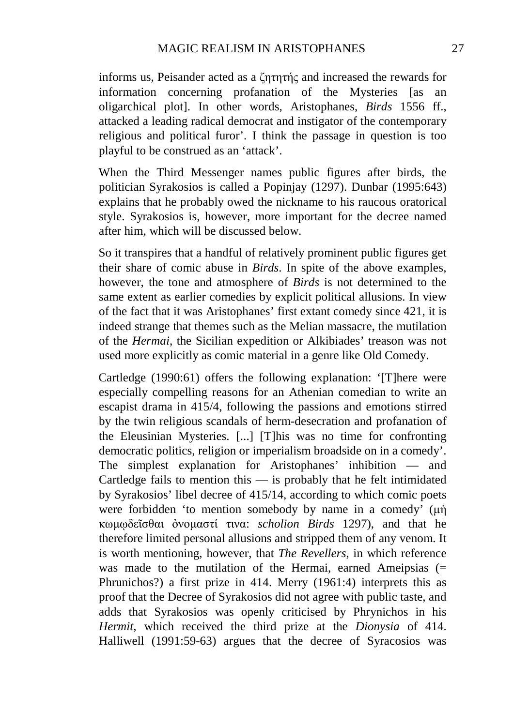informs us, Peisander acted as a ζητητής and increased the rewards for information concerning profanation of the Mysteries [as an oligarchical plot]. In other words, Aristophanes, *Birds* 1556 ff., attacked a leading radical democrat and instigator of the contemporary religious and political furor'. I think the passage in question is too playful to be construed as an 'attack'.

When the Third Messenger names public figures after birds, the politician Syrakosios is called a Popinjay (1297). Dunbar (1995:643) explains that he probably owed the nickname to his raucous oratorical style. Syrakosios is, however, more important for the decree named after him, which will be discussed below.

So it transpires that a handful of relatively prominent public figures get their share of comic abuse in *Birds*. In spite of the above examples, however, the tone and atmosphere of *Birds* is not determined to the same extent as earlier comedies by explicit political allusions. In view of the fact that it was Aristophanes' first extant comedy since 421, it is indeed strange that themes such as the Melian massacre, the mutilation of the *Hermai*, the Sicilian expedition or Alkibiades' treason was not used more explicitly as comic material in a genre like Old Comedy.

Cartledge (1990:61) offers the following explanation: '[T]here were especially compelling reasons for an Athenian comedian to write an escapist drama in 415/4, following the passions and emotions stirred by the twin religious scandals of herm-desecration and profanation of the Eleusinian Mysteries. [...] [T]his was no time for confronting democratic politics, religion or imperialism broadside on in a comedy'. The simplest explanation for Aristophanes' inhibition — and Cartledge fails to mention this — is probably that he felt intimidated by Syrakosios' libel decree of 415/14, according to which comic poets were forbidden 'to mention somebody by name in a comedy' (µὴ κωµῳδεῖσθαι ὀνοµαστί τινα: *scholion Birds* 1297), and that he therefore limited personal allusions and stripped them of any venom. It is worth mentioning, however, that *The Revellers*, in which reference was made to the mutilation of the Hermai, earned Ameipsias  $(=$ Phrunichos?) a first prize in 414. Merry (1961:4) interprets this as proof that the Decree of Syrakosios did not agree with public taste, and adds that Syrakosios was openly criticised by Phrynichos in his *Hermit*, which received the third prize at the *Dionysia* of 414. Halliwell (1991:59-63) argues that the decree of Syracosios was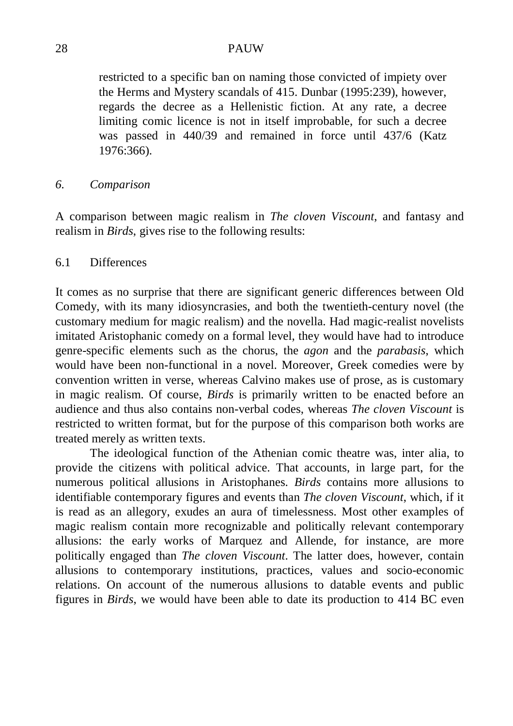restricted to a specific ban on naming those convicted of impiety over the Herms and Mystery scandals of 415. Dunbar (1995:239), however, regards the decree as a Hellenistic fiction. At any rate, a decree limiting comic licence is not in itself improbable, for such a decree was passed in 440/39 and remained in force until 437/6 (Katz 1976:366).

### *6. Comparison*

A comparison between magic realism in *The cloven Viscount*, and fantasy and realism in *Birds*, gives rise to the following results:

# 6.1 Differences

It comes as no surprise that there are significant generic differences between Old Comedy, with its many idiosyncrasies, and both the twentieth-century novel (the customary medium for magic realism) and the novella. Had magic-realist novelists imitated Aristophanic comedy on a formal level, they would have had to introduce genre-specific elements such as the chorus, the *agon* and the *parabasis*, which would have been non-functional in a novel. Moreover, Greek comedies were by convention written in verse, whereas Calvino makes use of prose, as is customary in magic realism. Of course, *Birds* is primarily written to be enacted before an audience and thus also contains non-verbal codes, whereas *The cloven Viscount* is restricted to written format, but for the purpose of this comparison both works are treated merely as written texts.

The ideological function of the Athenian comic theatre was, inter alia, to provide the citizens with political advice. That accounts, in large part, for the numerous political allusions in Aristophanes. *Birds* contains more allusions to identifiable contemporary figures and events than *The cloven Viscount*, which, if it is read as an allegory, exudes an aura of timelessness. Most other examples of magic realism contain more recognizable and politically relevant contemporary allusions: the early works of Marquez and Allende, for instance, are more politically engaged than *The cloven Viscount*. The latter does, however, contain allusions to contemporary institutions, practices, values and socio-economic relations. On account of the numerous allusions to datable events and public figures in *Birds*, we would have been able to date its production to 414 BC even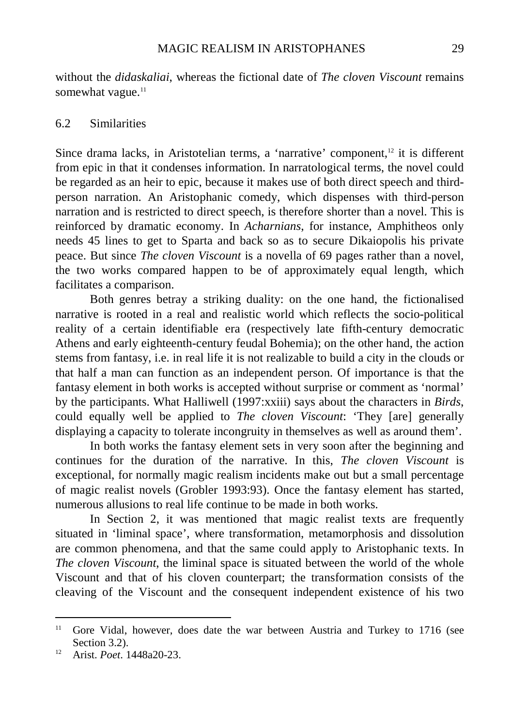without the *didaskaliai*, whereas the fictional date of *The cloven Viscount* remains somewhat vague.<sup>11</sup>

## 6.2 Similarities

Since drama lacks, in Aristotelian terms, a 'narrative' component, $12$  it is different from epic in that it condenses information. In narratological terms, the novel could be regarded as an heir to epic, because it makes use of both direct speech and thirdperson narration. An Aristophanic comedy, which dispenses with third-person narration and is restricted to direct speech, is therefore shorter than a novel. This is reinforced by dramatic economy. In *Acharnians*, for instance, Amphitheos only needs 45 lines to get to Sparta and back so as to secure Dikaiopolis his private peace. But since *The cloven Viscount* is a novella of 69 pages rather than a novel, the two works compared happen to be of approximately equal length, which facilitates a comparison.

Both genres betray a striking duality: on the one hand, the fictionalised narrative is rooted in a real and realistic world which reflects the socio-political reality of a certain identifiable era (respectively late fifth-century democratic Athens and early eighteenth-century feudal Bohemia); on the other hand, the action stems from fantasy, i.e. in real life it is not realizable to build a city in the clouds or that half a man can function as an independent person. Of importance is that the fantasy element in both works is accepted without surprise or comment as 'normal' by the participants. What Halliwell (1997:xxiii) says about the characters in *Birds*, could equally well be applied to *The cloven Viscount*: 'They [are] generally displaying a capacity to tolerate incongruity in themselves as well as around them'.

In both works the fantasy element sets in very soon after the beginning and continues for the duration of the narrative. In this, *The cloven Viscount* is exceptional, for normally magic realism incidents make out but a small percentage of magic realist novels (Grobler 1993:93). Once the fantasy element has started, numerous allusions to real life continue to be made in both works.

In Section 2, it was mentioned that magic realist texts are frequently situated in 'liminal space', where transformation, metamorphosis and dissolution are common phenomena, and that the same could apply to Aristophanic texts. In *The cloven Viscount*, the liminal space is situated between the world of the whole Viscount and that of his cloven counterpart; the transformation consists of the cleaving of the Viscount and the consequent independent existence of his two

<u>.</u>

<sup>&</sup>lt;sup>11</sup> Gore Vidal, however, does date the war between Austria and Turkey to 1716 (see Section 3.2).

<sup>12</sup> Arist. *Poet*. 1448a20-23.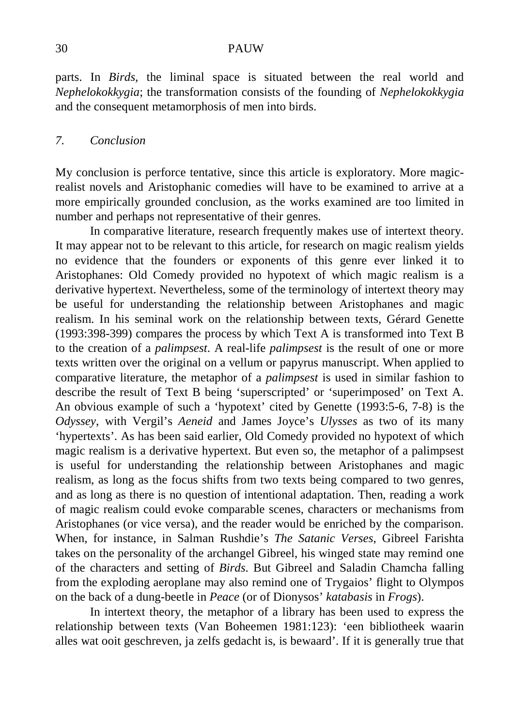parts. In *Birds*, the liminal space is situated between the real world and *Nephelokokkygia*; the transformation consists of the founding of *Nephelokokkygia* and the consequent metamorphosis of men into birds.

### *7. Conclusion*

My conclusion is perforce tentative, since this article is exploratory. More magicrealist novels and Aristophanic comedies will have to be examined to arrive at a more empirically grounded conclusion, as the works examined are too limited in number and perhaps not representative of their genres.

In comparative literature, research frequently makes use of intertext theory. It may appear not to be relevant to this article, for research on magic realism yields no evidence that the founders or exponents of this genre ever linked it to Aristophanes: Old Comedy provided no hypotext of which magic realism is a derivative hypertext. Nevertheless, some of the terminology of intertext theory may be useful for understanding the relationship between Aristophanes and magic realism. In his seminal work on the relationship between texts, Gérard Genette (1993:398-399) compares the process by which Text A is transformed into Text B to the creation of a *palimpsest*. A real-life *palimpsest* is the result of one or more texts written over the original on a vellum or papyrus manuscript. When applied to comparative literature, the metaphor of a *palimpsest* is used in similar fashion to describe the result of Text B being 'superscripted' or 'superimposed' on Text A. An obvious example of such a 'hypotext' cited by Genette (1993:5-6, 7-8) is the *Odyssey*, with Vergil's *Aeneid* and James Joyce's *Ulysses* as two of its many 'hypertexts'. As has been said earlier, Old Comedy provided no hypotext of which magic realism is a derivative hypertext. But even so, the metaphor of a palimpsest is useful for understanding the relationship between Aristophanes and magic realism, as long as the focus shifts from two texts being compared to two genres, and as long as there is no question of intentional adaptation. Then, reading a work of magic realism could evoke comparable scenes, characters or mechanisms from Aristophanes (or vice versa), and the reader would be enriched by the comparison. When, for instance, in Salman Rushdie's *The Satanic Verses*, Gibreel Farishta takes on the personality of the archangel Gibreel, his winged state may remind one of the characters and setting of *Birds*. But Gibreel and Saladin Chamcha falling from the exploding aeroplane may also remind one of Trygaios' flight to Olympos on the back of a dung-beetle in *Peace* (or of Dionysos' *katabasis* in *Frogs*).

In intertext theory, the metaphor of a library has been used to express the relationship between texts (Van Boheemen 1981:123): 'een bibliotheek waarin alles wat ooit geschreven, ja zelfs gedacht is, is bewaard'. If it is generally true that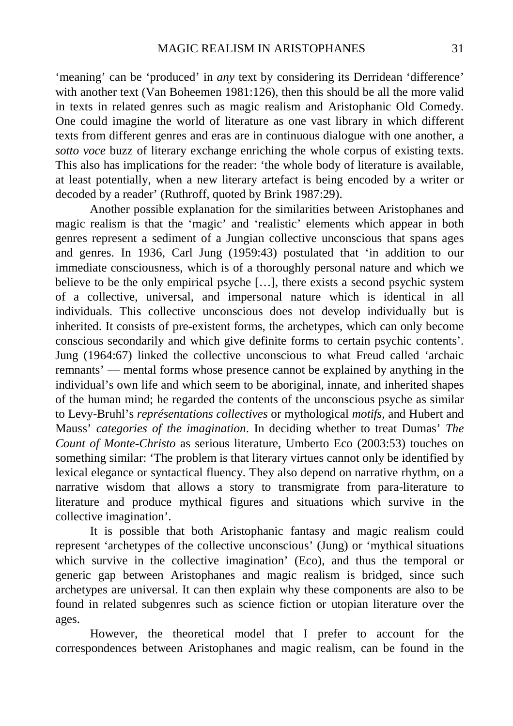'meaning' can be 'produced' in *any* text by considering its Derridean 'difference' with another text (Van Boheemen 1981:126), then this should be all the more valid in texts in related genres such as magic realism and Aristophanic Old Comedy. One could imagine the world of literature as one vast library in which different texts from different genres and eras are in continuous dialogue with one another, a *sotto voce* buzz of literary exchange enriching the whole corpus of existing texts. This also has implications for the reader: 'the whole body of literature is available, at least potentially, when a new literary artefact is being encoded by a writer or decoded by a reader' (Ruthroff, quoted by Brink 1987:29).

Another possible explanation for the similarities between Aristophanes and magic realism is that the 'magic' and 'realistic' elements which appear in both genres represent a sediment of a Jungian collective unconscious that spans ages and genres. In 1936, Carl Jung (1959:43) postulated that 'in addition to our immediate consciousness, which is of a thoroughly personal nature and which we believe to be the only empirical psyche […], there exists a second psychic system of a collective, universal, and impersonal nature which is identical in all individuals. This collective unconscious does not develop individually but is inherited. It consists of pre-existent forms, the archetypes, which can only become conscious secondarily and which give definite forms to certain psychic contents'. Jung (1964:67) linked the collective unconscious to what Freud called 'archaic remnants' — mental forms whose presence cannot be explained by anything in the individual's own life and which seem to be aboriginal, innate, and inherited shapes of the human mind; he regarded the contents of the unconscious psyche as similar to Levy-Bruhl's *représentations collectives* or mythological *motifs*, and Hubert and Mauss' *categories of the imagination*. In deciding whether to treat Dumas' *The Count of Monte-Christo* as serious literature, Umberto Eco (2003:53) touches on something similar: 'The problem is that literary virtues cannot only be identified by lexical elegance or syntactical fluency. They also depend on narrative rhythm, on a narrative wisdom that allows a story to transmigrate from para-literature to literature and produce mythical figures and situations which survive in the collective imagination'.

It is possible that both Aristophanic fantasy and magic realism could represent 'archetypes of the collective unconscious' (Jung) or 'mythical situations which survive in the collective imagination' (Eco), and thus the temporal or generic gap between Aristophanes and magic realism is bridged, since such archetypes are universal. It can then explain why these components are also to be found in related subgenres such as science fiction or utopian literature over the ages.

However, the theoretical model that I prefer to account for the correspondences between Aristophanes and magic realism, can be found in the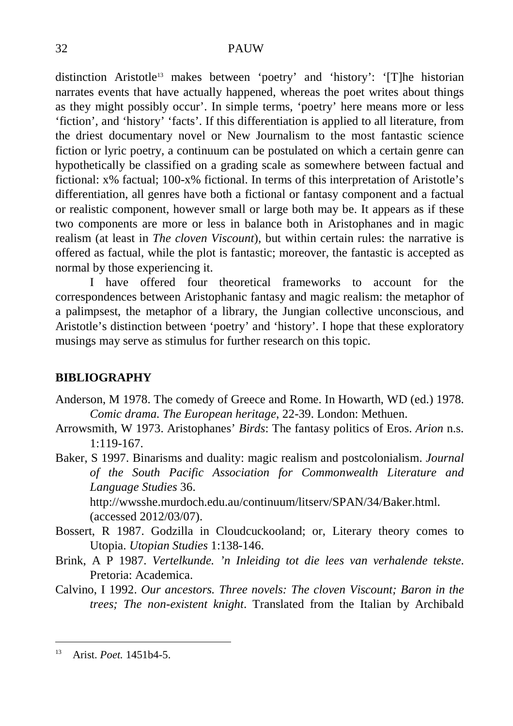distinction Aristotle13 makes between 'poetry' and 'history': '[T]he historian narrates events that have actually happened, whereas the poet writes about things as they might possibly occur'. In simple terms, 'poetry' here means more or less 'fiction', and 'history' 'facts'. If this differentiation is applied to all literature, from the driest documentary novel or New Journalism to the most fantastic science fiction or lyric poetry, a continuum can be postulated on which a certain genre can hypothetically be classified on a grading scale as somewhere between factual and fictional: x% factual; 100-x% fictional. In terms of this interpretation of Aristotle's differentiation, all genres have both a fictional or fantasy component and a factual or realistic component, however small or large both may be. It appears as if these two components are more or less in balance both in Aristophanes and in magic realism (at least in *The cloven Viscount*), but within certain rules: the narrative is offered as factual, while the plot is fantastic; moreover, the fantastic is accepted as normal by those experiencing it.

I have offered four theoretical frameworks to account for the correspondences between Aristophanic fantasy and magic realism: the metaphor of a palimpsest, the metaphor of a library, the Jungian collective unconscious, and Aristotle's distinction between 'poetry' and 'history'. I hope that these exploratory musings may serve as stimulus for further research on this topic.

## **BIBLIOGRAPHY**

- Anderson, M 1978. The comedy of Greece and Rome. In Howarth, WD (ed.) 1978. *Comic drama. The European heritage*, 22-39. London: Methuen.
- Arrowsmith, W 1973. Aristophanes' *Birds*: The fantasy politics of Eros. *Arion* n.s. 1:119-167.
- Baker, S 1997. Binarisms and duality: magic realism and postcolonialism. *Journal of the South Pacific Association for Commonwealth Literature and Language Studies* 36.

http://wwsshe.murdoch.edu.au/continuum/litserv/SPAN/34/Baker.html. (accessed 2012/03/07).

- Bossert, R 1987. Godzilla in Cloudcuckooland; or, Literary theory comes to Utopia. *Utopian Studies* 1:138-146.
- Brink, A P 1987. *Vertelkunde. 'n Inleiding tot die lees van verhalende tekste*. Pretoria: Academica.
- Calvino, I 1992. *Our ancestors. Three novels: The cloven Viscount; Baron in the trees; The non-existent knight*. Translated from the Italian by Archibald

 $13$ 13 Arist. *Poet.* 1451b4-5.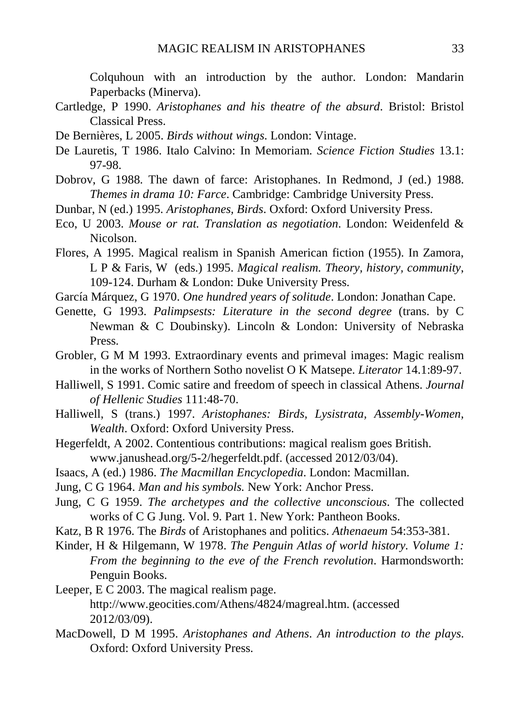Colquhoun with an introduction by the author. London: Mandarin Paperbacks (Minerva).

- Cartledge, P 1990. *Aristophanes and his theatre of the absurd*. Bristol: Bristol Classical Press.
- De Bernières, L 2005. *Birds without wings*. London: Vintage.
- De Lauretis, T 1986. Italo Calvino: In Memoriam. *Science Fiction Studies* 13.1: 97-98.
- Dobrov, G 1988. The dawn of farce: Aristophanes. In Redmond, J (ed.) 1988. *Themes in drama 10: Farce*. Cambridge: Cambridge University Press.
- Dunbar, N (ed.) 1995. *Aristophanes, Birds*. Oxford: Oxford University Press.
- Eco, U 2003. *Mouse or rat. Translation as negotiation*. London: Weidenfeld & Nicolson.
- Flores, A 1995. Magical realism in Spanish American fiction (1955). In Zamora, L P & Faris, W (eds.) 1995. *Magical realism. Theory, history, community*, 109-124. Durham & London: Duke University Press.
- García Márquez, G 1970. *One hundred years of solitude*. London: Jonathan Cape.
- Genette, G 1993. *Palimpsests: Literature in the second degree* (trans. by C Newman & C Doubinsky). Lincoln & London: University of Nebraska Press.
- Grobler, G M M 1993. Extraordinary events and primeval images: Magic realism in the works of Northern Sotho novelist O K Matsepe. *Literator* 14.1:89-97.
- Halliwell, S 1991. Comic satire and freedom of speech in classical Athens. *Journal of Hellenic Studies* 111:48-70.
- Halliwell, S (trans.) 1997. *Aristophanes: Birds, Lysistrata, Assembly-Women, Wealth*. Oxford: Oxford University Press.
- Hegerfeldt, A 2002. Contentious contributions: magical realism goes British. www.janushead.org/5-2/hegerfeldt.pdf. (accessed 2012/03/04).
- Isaacs, A (ed.) 1986. *The Macmillan Encyclopedia*. London: Macmillan.
- Jung, C G 1964. *Man and his symbols.* New York: Anchor Press.
- Jung, C G 1959. *The archetypes and the collective unconscious*. The collected works of C G Jung. Vol. 9. Part 1. New York: Pantheon Books.
- Katz, B R 1976. The *Birds* of Aristophanes and politics. *Athenaeum* 54:353-381.
- Kinder, H & Hilgemann, W 1978. *The Penguin Atlas of world history. Volume 1: From the beginning to the eve of the French revolution*. Harmondsworth: Penguin Books.
- Leeper, E C 2003. The magical realism page. http://www.geocities.com/Athens/4824/magreal.htm. (accessed 2012/03/09).
- MacDowell, D M 1995. *Aristophanes and Athens*. *An introduction to the plays*. Oxford: Oxford University Press.